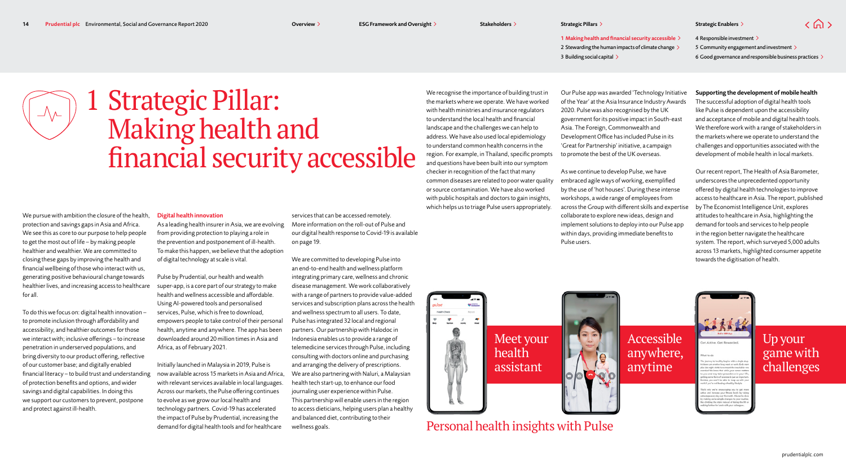$\langle \bigcap \rangle$ 

2 Stewarding the human impacts of climate change > 3 Building social capital > 1 Making health and financial security accessible  $\geq$  4 Responsible investment > 5 Community engagement and investment > 6 Good governance and responsible business practices

# 1 Strategic Pillar:  $\mathcal{N}_{\text{c}}$ Making health and financial security accessible

We pursue with ambition the closure of the health protection and savings gaps in Asia and Africa. We see this as core to our purpose to help people to get the most out of life – by making people healthier and wealthier. We are committed to closing these gaps by improving the health and financial wellbeing of those who interact with us, generating positive behavioural change towards healthier lives, and increasing access to healthcare for all.

To do this we focus on: digital health innovation – to promote inclusion through affordability and accessibility, and healthier outcomes for those we interact with; inclusive offerings – to increase penetration in underserved populations, and bring diversity to our product offering, reflective of our customer base; and digitally enabled financial literacy – to build trust and understanding of protection benefits and options, and wider savings and digital capabilities. In doing this we support our customers to prevent, postpone and protect against ill-health.

#### Digital health innovation

As a leading health insurer in Asia, we are evolving from providing protection to playing a role in the prevention and postponement of ill-health. To make this happen, we believe that the adoption of digital technology at scale is vital.

Pulse by Prudential, our health and wealth super-app, is a core part of our strategy to make health and wellness accessible and affordable. Using AI-powered tools and personalised services, Pulse, which is free to download, empowers people to take control of their personal health, anytime and anywhere. The app has been downloaded around 20 million times in Asia and Africa, as of February 2021.

Initially launched in Malaysia in 2019, Pulse is now available across 15 markets in Asia and Africa, with relevant services available in local languages. Across our markets, the Pulse offering continues to evolve as we grow our local health and technology partners. Covid-19 has accelerated the impact of Pulse by Prudential, increasing the demand for digital health tools and for healthcare

services that can be accessed remotely. More information on the roll-out of Pulse and our digital health response to Covid-19 is available on page 19.

We are committed to developing Pulse into an end-to-end health and wellness platform integrating primary care, wellness and chronic disease management. We work collaboratively with a range of partners to provide value-added services and subscription plans across the health and wellness spectrum to all users. To date, Pulse has integrated 32 local and regional partners. Our partnership with Halodoc in Indonesia enables us to provide a range of telemedicine services through Pulse, including consulting with doctors online and purchasing and arranging the delivery of prescriptions. We are also partnering with Naluri, a Malaysian health tech start-up, to enhance our food journaling user experience within Pulse. This partnership will enable users in the region to access dieticians, helping users plan a healthy and balanced diet, contributing to their wellness goals.

We recognise the importance of building trust in the markets where we operate. We have worked with health ministries and insurance regulators to understand the local health and financial landscape and the challenges we can help to address. We have also used local epidemiology to understand common health concerns in the region. For example, in Thailand, specific prompts and questions have been built into our symptom checker in recognition of the fact that many common diseases are related to poor water quality or source contamination. We have also worked with public hospitals and doctors to gain insights, which helps us to triage Pulse users appropriately.

pulset

Our Pulse app was awarded 'Technology Initiative of the Year' at the Asia Insurance Industry Awards 2020. Pulse was also recognised by the UK government for its positive impact in South-east Asia. The Foreign, Commonwealth and Development Office has included Pulse in its 'Great for Partnership' initiative, a campaign to promote the best of the UK overseas.

As we continue to develop Pulse, we have embraced agile ways of working, exemplified by the use of 'hot houses'. During these intense workshops, a wide range of employees from across the Group with different skills and expertise collaborate to explore new ideas, design and implement solutions to deploy into our Pulse app within days, providing immediate benefits to Pulse users.

#### Supporting the development of mobile health

The successful adoption of digital health tools like Pulse is dependent upon the accessibility and acceptance of mobile and digital health tools. We therefore work with a range of stakeholders in the markets where we operate to understand the challenges and opportunities associated with the development of mobile health in local markets.

Our recent report, The Health of Asia Barometer, underscores the unprecedented opportunity offered by digital health technologies to improve access to healthcare in Asia. The report, published by The Economist Intelligence Unit, explores attitudes to healthcare in Asia, highlighting the demand for tools and services to help people in the region better navigate the healthcare system. The report, which surveyed 5,000 adults across 13 markets, highlighted consumer appetite towards the digitisation of health.



Personal health insights with Pulse

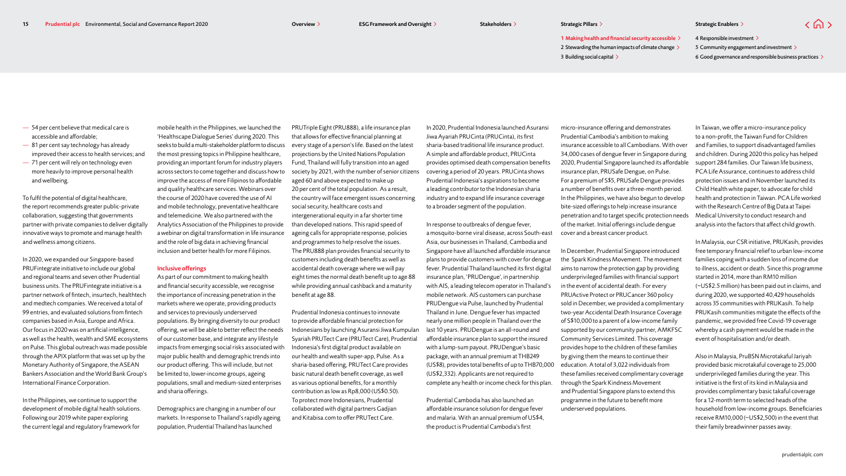3 Building social capital >

4 Responsible investment > 5 Community engagement and investment > 6 Good governance and responsible business practices

 $\langle$   $\bigcap$   $\rangle$ 

- 54 per cent believe that medical care is accessible and affordable;
- 81 per cent say technology has already improved their access to health services; and
- 71 per cent will rely on technology even more heavily to improve personal health and wellbeing.

To fulfil the potential of digital healthcare, the report recommends greater public-private collaboration, suggesting that governments partner with private companies to deliver digitally innovative ways to promote and manage health and wellness among citizens.

In 2020, we expanded our Singapore-based PRUFintegrate initiative to include our global and regional teams and seven other Prudential business units. The PRUFintegrate initiative is a partner network of fintech, insurtech, healthtech and medtech companies. We received a total of 99 entries, and evaluated solutions from fintech companies based in Asia, Europe and Africa. Our focus in 2020 was on artificial intelligence, as well as the health, wealth and SME ecosystems on Pulse. This global outreach was made possible through the APIX platform that was set up by the Monetary Authority of Singapore, the ASEAN Bankers Association and the World Bank Group's International Finance Corporation.

In the Philippines, we continue to support the development of mobile digital health solutions. Following our 2019 white paper exploring the current legal and regulatory framework for

mobile health in the Philippines, we launched the 'Healthscape Dialogue Series' during 2020. This seeks to build a multi-stakeholder platform to discuss the most pressing topics in Philippine healthcare, providing an important forum for industry players across sectors to come together and discuss how to improve the access of more Filipinos to affordable and quality healthcare services. Webinars over the course of 2020 have covered the use of AI and mobile technology, preventative healthcare and telemedicine. We also partnered with the Analytics Association of the Philippines to provide a webinar on digital transformation in life insurance and the role of big data in achieving financial inclusion and better health for more Filipinos.

#### Inclusive offerings

As part of our commitment to making health and financial security accessible, we recognise the importance of increasing penetration in the markets where we operate, providing products and services to previously underserved populations. By bringing diversity to our product offering, we will be able to better reflect the needs of our customer base, and integrate any lifestyle impacts from emerging social risks associated with major public health and demographic trends into our product offering. This will include, but not be limited to, lower-income groups, ageing populations, small and medium-sized enterprises and sharia offerings.

Demographics are changing in a number of our markets. In response to Thailand's rapidly ageing population, Prudential Thailand has launched

PRUTriple Eight (PRU888), a life insurance plan that allows for effective financial planning at every stage of a person's life. Based on the latest projections by the United Nations Population Fund, Thailand will fully transition into an aged society by 2021, with the number of senior citizens aged 60 and above expected to make up 20 per cent of the total population. As a result, the country will face emergent issues concerning social security, healthcare costs and intergenerational equity in a far shorter time than developed nations. This rapid speed of ageing calls for appropriate response, policies and programmes to help resolve the issues. The PRU888 plan provides financial security to customers including death benefits as well as accidental death coverage where we will pay eight times the normal death benefit up to age 88 while providing annual cashback and a maturity benefit at age 88.

Prudential Indonesia continues to innovate to provide affordable financial protection for Indonesians by launching Asuransi Jiwa Kumpulan Syariah PRUTect Care (PRUTect Care), Prudential Indonesia's first digital product available on our health and wealth super-app, Pulse. As a sharia-based offering, PRUTect Care provides basic natural death benefit coverage, as well as various optional benefits, for a monthly contribution as low as Rp8,000 (US\$0.50). To protect more Indonesians, Prudential collaborated with digital partners Gadjian and Kitabisa.com to offer PRUTect Care.

In 2020, Prudential Indonesia launched Asuransi Jiwa Ayariah PRUCinta (PRUCinta), its first sharia-based traditional life insurance product. A simple and affordable product, PRUCinta provides optimised death compensation benefits covering a period of 20 years. PRUCinta shows Prudential Indonesia's aspirations to become a leading contributor to the Indonesian sharia industry and to expand life insurance coverage to a broader segment of the population.

In response to outbreaks of dengue fever, a mosquito-borne viral disease, across South-east Asia, our businesses in Thailand, Cambodia and Singapore have all launched affordable insurance plans to provide customers with cover for dengue fever. Prudential Thailand launched its first digital insurance plan, 'PRUDengue', in partnership with AIS, a leading telecom operator in Thailand's mobile network. AIS customers can purchase PRUDengue via Pulse, launched by Prudential Thailand in June. Dengue fever has impacted nearly one million people in Thailand over the last 10 years. PRUDengue is an all-round and affordable insurance plan to support the insured with a lump-sum payout. PRUDengue's basic package, with an annual premium at THB249 (US\$8), provides total benefits of up to THB70,000 (US\$2,332). Applicants are not required to complete any health or income check for this plan.

Prudential Cambodia has also launched an affordable insurance solution for dengue fever and malaria. With an annual premium of US\$4, the product is Prudential Cambodia's first

micro-insurance offering and demonstrates Prudential Cambodia's ambition to making insurance accessible to all Cambodians. With over 34,000 cases of dengue fever in Singapore during 2020, Prudential Singapore launched its affordable insurance plan, PRUSafe Dengue, on Pulse. For a premium of S\$5, PRUSafe Dengue provides a number of benefits over a three-month period. In the Philippines, we have also begun to develop bite-sized offerings to help increase insurance penetration and to target specific protection needs of the market. Initial offerings include dengue cover and a breast cancer product.

2 Stewarding the human impacts of climate change >

1 Making health and financial security accessible  $\geq$ 

In December, Prudential Singapore introduced the Spark Kindness Movement. The movement aims to narrow the protection gap by providing underprivileged families with financial support in the event of accidental death. For every PRUActive Protect or PRUCancer 360 policy sold in December, we provided a complimentary two-year Accidental Death Insurance Coverage of S\$10,000 to a parent of a low-income family supported by our community partner, AMKFSC Community Services Limited. This coverage provides hope to the children of these families by giving them the means to continue their education. A total of 3,022 individuals from these families received complimentary coverage through the Spark Kindness Movement and Prudential Singapore plans to extend this programme in the future to benefit more underserved populations.

In Taiwan, we offer a micro-insurance policy to a non-profit, the Taiwan Fund for Children and Families, to support disadvantaged families and children. During 2020 this policy has helped support 284 families. Our Taiwan life business, PCA Life Assurance, continues to address child protection issues and in November launched its Child Health white paper, to advocate for child health and protection in Taiwan. PCA Life worked with the Research Centre of Big Data at Taipei Medical University to conduct research and analysis into the factors that affect child growth.

In Malaysia, our CSR initiative, PRUKasih, provides free temporary financial relief to urban low-income families coping with a sudden loss of income due to illness, accident or death. Since this programme started in 2014, more than RM10 million (∼US\$2.5 million) has been paid out in claims, and during 2020, we supported 40,429 households across 35 communities with PRUKasih. To help PRUKasih communities mitigate the effects of the pandemic, we provided free Covid-19 coverage whereby a cash payment would be made in the event of hospitalisation and/or death.

Also in Malaysia, PruBSN Microtakaful Jariyah provided basic microtakaful coverage to 25,000 underprivileged families during the year. This initiative is the first of its kind in Malaysia and provides complimentary basic takaful coverage for a 12-month term to selected heads of the household from low-income groups. Beneficiaries receive RM10,000 (∼US\$2,500) in the event that their family breadwinner passes away.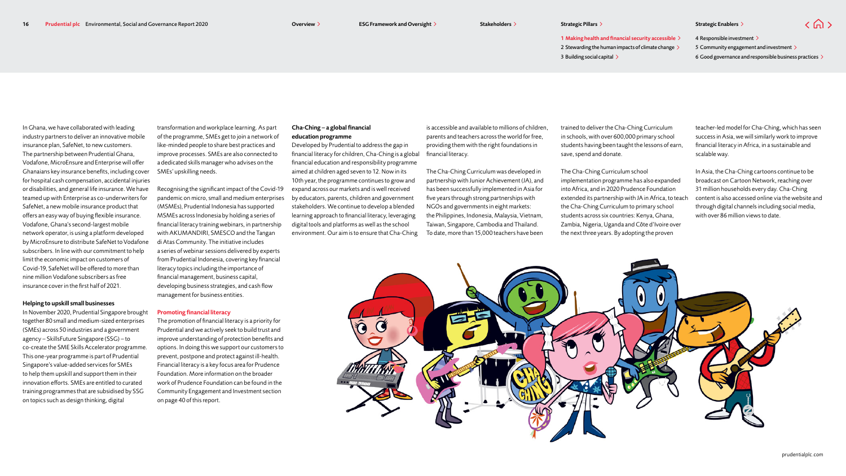3 Building social capital >

 $\langle \bigcap \rangle$ 

4 Responsible investment > 5 Community engagement and investment > 6 Good governance and responsible business practices

In Ghana, we have collaborated with leading industry partners to deliver an innovative mobile insurance plan, SafeNet, to new customers. The partnership between Prudential Ghana, Vodafone, MicroEnsure and Enterprise will offer Ghanaians key insurance benefits, including cover for hospital cash compensation, accidental injuries or disabilities, and general life insurance. We have teamed up with Enterprise as co-underwriters for SafeNet, a new mobile insurance product that offers an easy way of buying flexible insurance. Vodafone, Ghana's second-largest mobile network operator, is using a platform developed by MicroEnsure to distribute SafeNet to Vodafone subscribers. In line with our commitment to help limit the economic impact on customers of Covid-19, SafeNet will be offered to more than nine million Vodafone subscribers as free insurance cover in the first half of 2021.

#### Helping to upskill small businesses

In November 2020, Prudential Singapore brought together 80 small and medium-sized enterprises (SMEs) across 50 industries and a government agency – SkillsFuture Singapore (SSG) – to co-create the SME Skills Accelerator programme. This one-year programme is part of Prudential Singapore's value-added services for SMEs to help them upskill and support them in their innovation efforts. SMEs are entitled to curated training programmes that are subsidised by SSG on topics such as design thinking, digital

transformation and workplace learning. As part of the programme, SMEs get to join a network of like-minded people to share best practices and improve processes. SMEs are also connected to a dedicated skills manager who advises on the SMEs' upskilling needs.

Recognising the significant impact of the Covid-19 pandemic on micro, small and medium enterprises (MSMEs), Prudential Indonesia has supported MSMEs across Indonesia by holding a series of financial literacy training webinars, in partnership with AKUMANDIRI, SMESCO and the Tangan di Atas Community. The initiative includes a series of webinar sessions delivered by experts from Prudential Indonesia, covering key financial literacy topics including the importance of financial management, business capital, developing business strategies, and cash flow management for business entities.

#### Promoting financial literacy

The promotion of financial literacy is a priority for Prudential and we actively seek to build trust and improve understanding of protection benefits and options. In doing this we support our customers to prevent, postpone and protect against ill-health. Financial literacy is a key focus area for Prudence Foundation. More information on the broader work of Prudence Foundation can be found in the Community Engagement and Investment section on page 40 of this report.

#### Cha-Ching – a global financial education programme

Developed by Prudential to address the gap in financial literacy for children, Cha-Ching is a global financial education and responsibility programme aimed at children aged seven to 12. Now in its 10th year, the programme continues to grow and expand across our markets and is well received by educators, parents, children and government stakeholders. We continue to develop a blended learning approach to financial literacy, leveraging digital tools and platforms as well as the school environment. Our aim is to ensure that Cha-Ching

is accessible and available to millions of children, parents and teachers across the world for free, providing them with the right foundations in financial literacy.

The Cha-Ching Curriculum was developed in partnership with Junior Achievement (JA), and has been successfully implemented in Asia for five years through strong partnerships with NGOs and governments in eight markets: the Philippines, Indonesia, Malaysia, Vietnam, Taiwan, Singapore, Cambodia and Thailand. To date, more than 15,000 teachers have been

trained to deliver the Cha-Ching Curriculum in schools, with over 600,000 primary school students having been taught the lessons of earn, save, spend and donate.

2 Stewarding the human impacts of climate change >

1 Making health and financial security accessible  $\geq$ 

The Cha-Ching Curriculum school implementation programme has also expanded into Africa, and in 2020 Prudence Foundation extended its partnership with JA in Africa, to teach the Cha-Ching Curriculum to primary school students across six countries: Kenya, Ghana, Zambia, Nigeria, Uganda and Côte d'Ivoire over the next three years. By adopting the proven

teacher-led model for Cha-Ching, which has seen success in Asia, we will similarly work to improve financial literacy in Africa, in a sustainable and scalable way.

In Asia, the Cha-Ching cartoons continue to be broadcast on Cartoon Network, reaching over 31 million households every day. Cha-Ching content is also accessed online via the website and through digital channels including social media, with over 86 million views to date

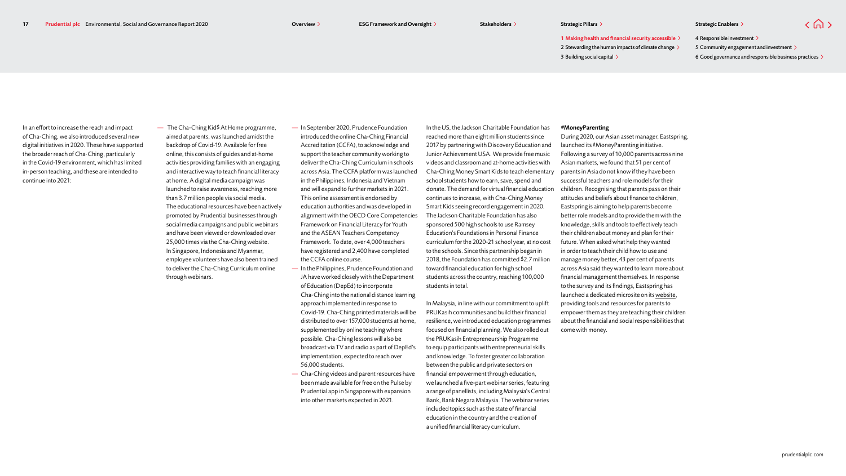$\langle \bigcap \rangle$ 

2 Stewarding the human impacts of climate change > 3 Building social capital > 4 Responsible investment > 5 Community engagement and investment > 6 Good governance and responsible business practices 1 Making health and financial security accessible  $\geq$ 

In an effort to increase the reach and impact of Cha-Ching, we also introduced several new digital initiatives in 2020. These have supported the broader reach of Cha-Ching, particularly in the Covid-19 environment, which has limited in-person teaching, and these are intended to continue into 2021:

— The Cha-Ching Kid\$ At Home programme, aimed at parents, was launched amidst the backdrop of Covid-19. Available for free online, this consists of guides and at-home activities providing families with an engaging and interactive way to teach financial literacy at home. A digital media campaign was launched to raise awareness, reaching more than 3.7 million people via social media. The educational resources have been actively promoted by Prudential businesses through social media campaigns and public webinars and have been viewed or downloaded over 25,000 times via the Cha-Ching website. In Singapore, Indonesia and Myanmar, employee volunteers have also been trained to deliver the Cha-Ching Curriculum online through webinars.

— In September 2020, Prudence Foundation introduced the online Cha-Ching Financial Accreditation (CCFA), to acknowledge and support the teacher community working to deliver the Cha-Ching Curriculum in schools across Asia. The CCFA platform was launched in the Philippines, Indonesia and Vietnam and will expand to further markets in 2021. This online assessment is endorsed by education authorities and was developed in alignment with the OECD Core Competencies Framework on Financial Literacy for Youth and the ASEAN Teachers Competency Framework. To date, over 4,000 teachers have registered and 2,400 have completed the CCFA online course.

- In the Philippines, Prudence Foundation and JA have worked closely with the Department of Education (DepEd) to incorporate Cha-Ching into the national distance learning approach implemented in response to Covid-19. Cha-Ching printed materials will be distributed to over 157,000 students at home, supplemented by online teaching where possible. Cha-Ching lessons will also be broadcast via TV and radio as part of DepEd's implementation, expected to reach over 56,000 students.
- Cha-Ching videos and parent resources have been made available for free on the Pulse by Prudential app in Singapore with expansion into other markets expected in 2021.

In the US, the Jackson Charitable Foundation has reached more than eight million students since 2017 by partnering with Discovery Education and Junior Achievement USA. We provide free music videos and classroom and at-home activities with Cha-Ching Money Smart Kids to teach elementary school students how to earn, save, spend and donate. The demand for virtual financial education continues to increase, with Cha-Ching Money Smart Kids seeing record engagement in 2020. The Jackson Charitable Foundation has also sponsored 500 high schools to use Ramsey Education's Foundations in Personal Finance curriculum for the 2020-21 school year, at no cost to the schools. Since this partnership began in 2018, the Foundation has committed \$2.7 million toward financial education for high school students across the country, reaching 100,000 students in total.

In Malaysia, in line with our commitment to uplift PRUKasih communities and build their financial resilience, we introduced education programmes focused on financial planning. We also rolled out the PRUKasih Entrepreneurship Programme to equip participants with entrepreneurial skills and knowledge. To foster greater collaboration between the public and private sectors on financial empowerment through education, we launched a five-part webinar series, featuring a range of panellists, including Malaysia's Central Bank, Bank Negara Malaysia. The webinar series included topics such as the state of financial education in the country and the creation of a unified financial literacy curriculum.

#### #MoneyParenting

During 2020, our Asian asset manager, Eastspring, launched its #MoneyParenting initiative. Following a survey of 10,000 parents across nine Asian markets, we found that 51 per cent of parents in Asia do not know if they have been successful teachers and role models for their children. Recognising that parents pass on their attitudes and beliefs about finance to children, Eastspring is aiming to help parents become better role models and to provide them with the knowledge, skills and tools to effectively teach their children about money and plan for their future. When asked what help they wanted in order to teach their child how to use and manage money better, 43 per cent of parents across Asia said they wanted to learn more about financial management themselves. In response to the survey and its findings, Eastspring has launched a dedicated microsite on its [website](https://www.eastspring.com/money-parenting), providing tools and resources for parents to empower them as they are teaching their children about the financial and social responsibilities that come with money.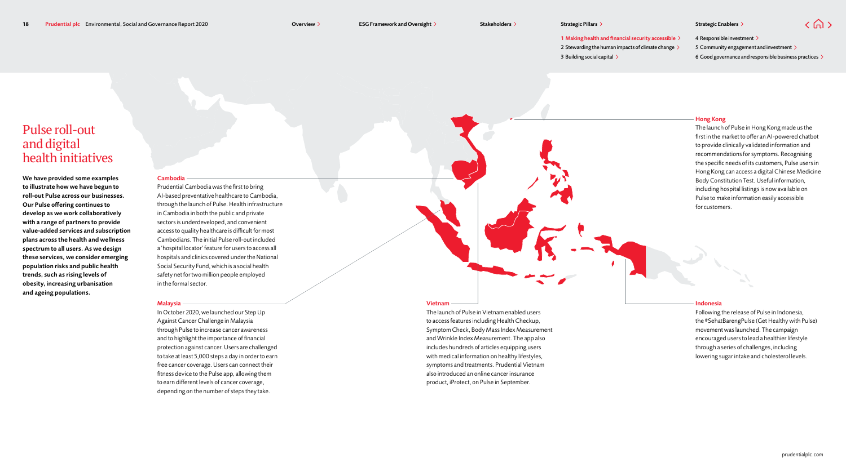$\langle \bigcap \rangle$ 

2 Stewarding the human impacts of climate change > 3 Building social capital 1 Making health and financial security accessible  $\geq$ 

4 Responsible investment > 5 Community engagement and investment > 6 Good governance and responsible business practices

#### Hong Kong

The launch of Pulse in Hong Kong made us the first in the market to offer an AI-powered chatbot to provide clinically validated information and recommendations for symptoms. Recognising the specific needs of its customers, Pulse users in Hong Kong can access a digital Chinese Medicine Body Constitution Test. Useful information, including hospital listings is now available on Pulse to make information easily accessible for customers.

## Pulse roll-out and digital health initiatives

We have provided some examples to illustrate how we have begun to roll-out Pulse across our businesses. Our Pulse offering continues to develop as we work collaboratively with a range of partners to provide value-added services and subscription plans across the health and wellness spectrum to all users. As we design these services, we consider emerging population risks and public health trends, such as rising levels of obesity, increasing urbanisation and ageing populations.

#### Cambodia

Prudential Cambodia was the first to bring AI-based preventative healthcare to Cambodia, through the launch of Pulse. Health infrastructure in Cambodia in both the public and private sectors is underdeveloped, and convenient access to quality healthcare is difficult for most Cambodians. The initial Pulse roll-out included a 'hospital locator' feature for users to access all hospitals and clinics covered under the National Social Security Fund, which is a social health safety net for two million people employed in the formal sector.

#### **Malaysia**

In October 2020, we launched our Step Up Against Cancer Challenge in Malaysia through Pulse to increase cancer awareness and to highlight the importance of financial protection against cancer. Users are challenged to take at least 5,000 steps a day in order to earn free cancer coverage. Users can connect their fitness device to the Pulse app, allowing them to earn different levels of cancer coverage, depending on the number of steps they take.

#### Vietnam

The launch of Pulse in Vietnam enabled users to access features including Health Checkup, Symptom Check, Body Mass Index Measurement and Wrinkle Index Measurement. The app also includes hundreds of articles equipping users with medical information on healthy lifestyles, symptoms and treatments. Prudential Vietnam also introduced an online cancer insurance product, iProtect, on Pulse in September.

#### Indonesia

Following the release of Pulse in Indonesia, the #SehatBarengPulse (Get Healthy with Pulse) movement was launched. The campaign encouraged users to lead a healthier lifestyle through a series of challenges, including lowering sugar intake and cholesterol levels.